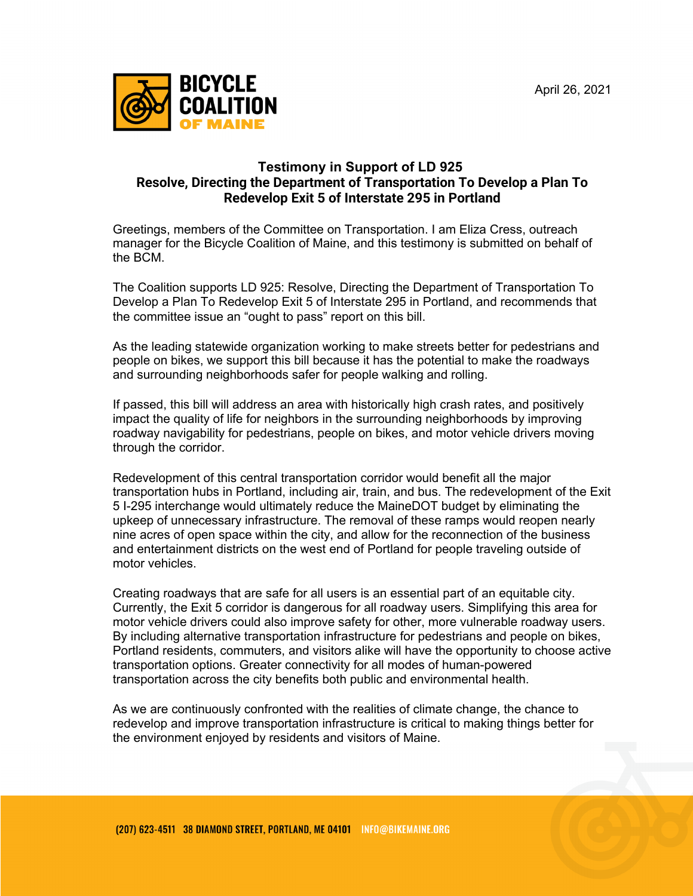

## **Testimony in Support of LD 925 Resolve, Directing the Department of Transportation To Develop a Plan To Redevelop Exit 5 of Interstate 295 in Portland**

Greetings, members of the Committee on Transportation. I am Eliza Cress, outreach manager for the Bicycle Coalition of Maine, and this testimony is submitted on behalf of the BCM.

The Coalition supports LD 925: Resolve, Directing the Department of Transportation To Develop a Plan To Redevelop Exit 5 of Interstate 295 in Portland, and recommends that the committee issue an "ought to pass" report on this bill.

As the leading statewide organization working to make streets better for pedestrians and people on bikes, we support this bill because it has the potential to make the roadways and surrounding neighborhoods safer for people walking and rolling.

If passed, this bill will address an area with historically high crash rates, and positively impact the quality of life for neighbors in the surrounding neighborhoods by improving roadway navigability for pedestrians, people on bikes, and motor vehicle drivers moving through the corridor.

Redevelopment of this central transportation corridor would benefit all the major transportation hubs in Portland, including air, train, and bus. The redevelopment of the Exit 5 I-295 interchange would ultimately reduce the MaineDOT budget by eliminating the upkeep of unnecessary infrastructure. The removal of these ramps would reopen nearly nine acres of open space within the city, and allow for the reconnection of the business and entertainment districts on the west end of Portland for people traveling outside of motor vehicles.

Creating roadways that are safe for all users is an essential part of an equitable city. Currently, the Exit 5 corridor is dangerous for all roadway users. Simplifying this area for motor vehicle drivers could also improve safety for other, more vulnerable roadway users. By including alternative transportation infrastructure for pedestrians and people on bikes, Portland residents, commuters, and visitors alike will have the opportunity to choose active transportation options. Greater connectivity for all modes of human-powered transportation across the city benefits both public and environmental health.

As we are continuously confronted with the realities of climate change, the chance to redevelop and improve transportation infrastructure is critical to making things better for the environment enjoyed by residents and visitors of Maine.